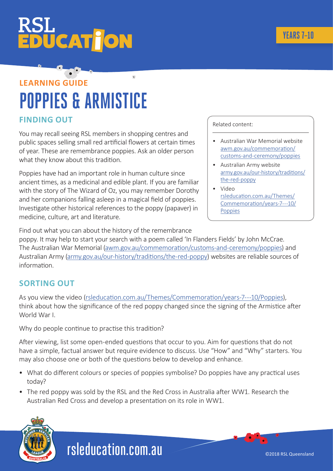# **ŪCAT JON**

### **LEARNING GUIDE POPPIES & ARMISTICE**

#### **FINDING OUT**

You may recall seeing RSL members in shopping centres and public spaces selling small red artificial flowers at certain times of year. These are remembrance poppies. Ask an older person what they know about this tradition.

Poppies have had an important role in human culture since ancient times, as a medicinal and edible plant. If you are familiar with the story of The Wizard of Oz, you may remember Dorothy and her companions falling asleep in a magical field of poppies. Investigate other historical references to the poppy (papaver) in medicine, culture, art and literature.

Related content:

- Australian War Memorial website [awm.gov.au/commemoration/](http://awm.gov.au/commemoration/customs-and-ceremony/poppies) [customs-and-ceremony/poppies](http://awm.gov.au/commemoration/customs-and-ceremony/poppies)
- Australian Army website [army.gov.au/our-history/traditions/](http://army.gov.au/our-history/traditions/the-red-poppy) [the-red-poppy](http://army.gov.au/our-history/traditions/the-red-poppy)
- Video [rsleducation.com.au/Themes/](http://rsleducation.com.au/Themes/Commemoration/years-7---10/Poppies) [Commemoration/years-7---10/](http://rsleducation.com.au/Themes/Commemoration/years-7---10/Poppies) [Poppies](http://rsleducation.com.au/Themes/Commemoration/years-7---10/Poppies)

Find out what you can about the history of the remembrance poppy. It may help to start your search with a poem called 'In Flanders Fields' by John McCrae. The Australian War Memorial [\(awm.gov.au/commemoration/customs-and-ceremony/poppies\)](http://awm.gov.au/commemoration/customs-and-ceremony/poppies) and Australian Army [\(army.gov.au/our-history/traditions/the-red-poppy](http://army.gov.au/our-history/traditions/the-red-poppy)) websites are reliable sources of information.

#### **SORTING OUT**

As you view the video [\(rsleducation.com.au/Themes/Commemoration/years-7---10/Poppies\)](http://rsleducation.com.au/Themes/Commemoration/years-7---10/Poppies), think about how the significance of the red poppy changed since the signing of the Armistice after World War I.

Why do people continue to practise this tradition?

After viewing, list some open-ended questions that occur to you. Aim for questions that do not have a simple, factual answer but require evidence to discuss. Use "How" and "Why" starters. You may also choose one or both of the questions below to develop and enhance.

- What do different colours or species of poppies symbolise? Do poppies have any practical uses today?
- The red poppy was sold by the RSL and the Red Cross in Australia after WW1. Research the Australian Red Cross and develop a presentation on its role in WW1.